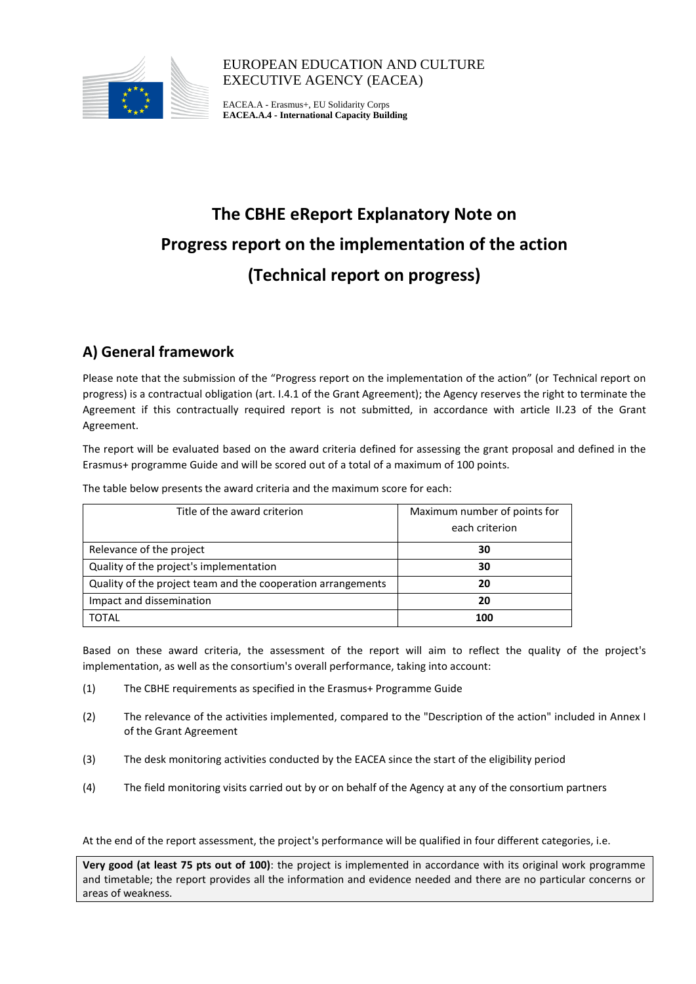

EUROPEAN EDUCATION AND CULTURE EXECUTIVE AGENCY (EACEA)

EACEA.A - Erasmus+, EU Solidarity Corps **EACEA.A.4 - International Capacity Building**

# **The CBHE eReport Explanatory Note on Progress report on the implementation of the action (Technical report on progress)**

# **A) General framework**

Please note that the submission of the "Progress report on the implementation of the action" (or Technical report on progress) is a contractual obligation (art. I.4.1 of the Grant Agreement); the Agency reserves the right to terminate the Agreement if this contractually required report is not submitted, in accordance with article II.23 of the Grant Agreement.

The report will be evaluated based on the award criteria defined for assessing the grant proposal and defined in the Erasmus+ programme Guide and will be scored out of a total of a maximum of 100 points.

The table below presents the award criteria and the maximum score for each:

| Title of the award criterion                                 | Maximum number of points for |
|--------------------------------------------------------------|------------------------------|
|                                                              | each criterion               |
| Relevance of the project                                     | 30                           |
| Quality of the project's implementation                      | 30                           |
| Quality of the project team and the cooperation arrangements | 20                           |
| Impact and dissemination                                     | 20                           |
| <b>TOTAL</b>                                                 | 100                          |

Based on these award criteria, the assessment of the report will aim to reflect the quality of the project's implementation, as well as the consortium's overall performance, taking into account:

- (1) The CBHE requirements as specified in the Erasmus+ Programme Guide
- (2) The relevance of the activities implemented, compared to the "Description of the action" included in Annex I of the Grant Agreement
- (3) The desk monitoring activities conducted by the EACEA since the start of the eligibility period
- (4) The field monitoring visits carried out by or on behalf of the Agency at any of the consortium partners

At the end of the report assessment, the project's performance will be qualified in four different categories, i.e.

**Very good (at least 75 pts out of 100)**: the project is implemented in accordance with its original work programme and timetable; the report provides all the information and evidence needed and there are no particular concerns or areas of weakness.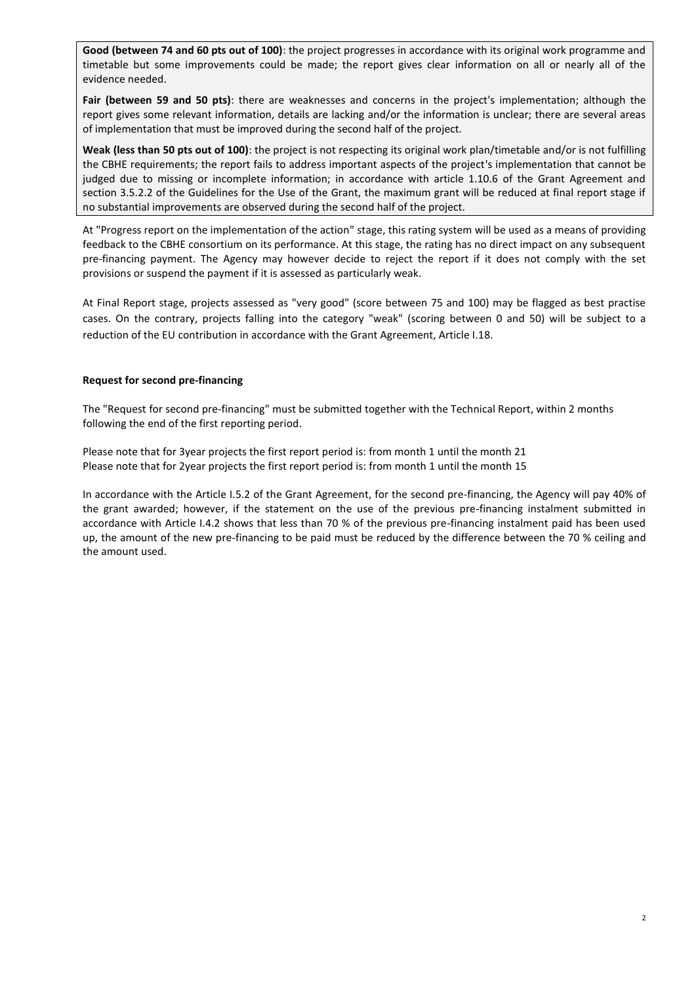**Good (between 74 and 60 pts out of 100)**: the project progresses in accordance with its original work programme and timetable but some improvements could be made; the report gives clear information on all or nearly all of the evidence needed.

**Fair (between 59 and 50 pts)**: there are weaknesses and concerns in the project's implementation; although the report gives some relevant information, details are lacking and/or the information is unclear; there are several areas of implementation that must be improved during the second half of the project.

**Weak (less than 50 pts out of 100)**: the project is not respecting its original work plan/timetable and/or is not fulfilling the CBHE requirements; the report fails to address important aspects of the project's implementation that cannot be judged due to missing or incomplete information; in accordance with article 1.10.6 of the Grant Agreement and section 3.5.2.2 of the Guidelines for the Use of the Grant, the maximum grant will be reduced at final report stage if no substantial improvements are observed during the second half of the project.

At "Progress report on the implementation of the action" stage, this rating system will be used as a means of providing feedback to the CBHE consortium on its performance. At this stage, the rating has no direct impact on any subsequent pre-financing payment. The Agency may however decide to reject the report if it does not comply with the set provisions or suspend the payment if it is assessed as particularly weak.

At Final Report stage, projects assessed as "very good" (score between 75 and 100) may be flagged as best practise cases. On the contrary, projects falling into the category "weak" (scoring between 0 and 50) will be subject to a reduction of the EU contribution in accordance with the Grant Agreement, Article I.18.

#### **Request for second pre-financing**

The "Request for second pre-financing" must be submitted together with the Technical Report, within 2 months following the end of the first reporting period.

Please note that for 3year projects the first report period is: from month 1 until the month 21 Please note that for 2year projects the first report period is: from month 1 until the month 15

In accordance with the Article I.5.2 of the Grant Agreement, for the second pre-financing, the Agency will pay 40% of the grant awarded; however, if the statement on the use of the previous pre-financing instalment submitted in accordance with Article I.4.2 shows that less than 70 % of the previous pre-financing instalment paid has been used up, the amount of the new pre-financing to be paid must be reduced by the difference between the 70 % ceiling and the amount used.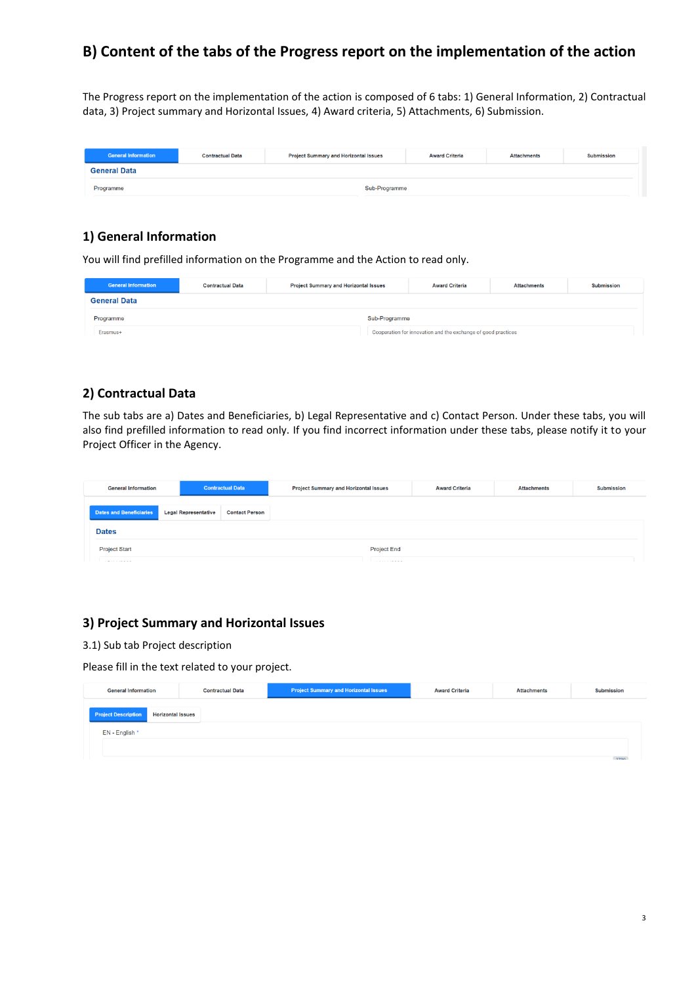# **B) Content of the tabs of the Progress report on the implementation of the action**

The Progress report on the implementation of the action is composed of 6 tabs: 1) General Information, 2) Contractual data, 3) Project summary and Horizontal Issues, 4) Award criteria, 5) Attachments, 6) Submission.

| <b>General Information</b> | <b>Contractual Data</b> | <b>Project Summary and Horizontal Issues</b> | <b>Award Criteria</b> | <b>Attachments</b> | <b>Submission</b> |
|----------------------------|-------------------------|----------------------------------------------|-----------------------|--------------------|-------------------|
| <b>General Data</b>        |                         |                                              |                       |                    |                   |
| Programme                  |                         | Sub-Programme                                |                       |                    |                   |

### **1) General Information**

You will find prefilled information on the Programme and the Action to read only.

| <b>General Information</b> | <b>Contractual Data</b>                                       | <b>Project Summary and Horizontal Issues</b> | <b>Award Criteria</b> | <b>Attachments</b> | <b>Submission</b> |  |  |  |
|----------------------------|---------------------------------------------------------------|----------------------------------------------|-----------------------|--------------------|-------------------|--|--|--|
| <b>General Data</b>        |                                                               |                                              |                       |                    |                   |  |  |  |
| Programme                  | Sub-Programme                                                 |                                              |                       |                    |                   |  |  |  |
| Erasmus+                   | Cooperation for innovation and the exchange of good practices |                                              |                       |                    |                   |  |  |  |

# **2) Contractual Data**

The sub tabs are a) Dates and Beneficiaries, b) Legal Representative and c) Contact Person. Under these tabs, you will also find prefilled information to read only. If you find incorrect information under these tabs, please notify it to your Project Officer in the Agency.

| <b>General Information</b>     | <b>Contractual Data</b>     |                       | <b>Project Summary and Horizontal Issues</b> | <b>Award Criteria</b> | <b>Attachments</b> | <b>Submission</b> |
|--------------------------------|-----------------------------|-----------------------|----------------------------------------------|-----------------------|--------------------|-------------------|
| <b>Dates and Beneficiaries</b> | <b>Legal Representative</b> | <b>Contact Person</b> |                                              |                       |                    |                   |
| <b>Dates</b>                   |                             |                       |                                              |                       |                    |                   |
| <b>Project Start</b>           |                             |                       | <b>Project End</b>                           |                       |                    |                   |
| .                              |                             |                       | .                                            |                       |                    |                   |

## **3) Project Summary and Horizontal Issues**

3.1) Sub tab Project description

Please fill in the text related to your project.

| <b>General Information</b>                             | <b>Contractual Data</b> | <b>Project Summary and Horizontal Issues</b> | <b>Award Criteria</b> | <b>Attachments</b> | <b>Submission</b> |
|--------------------------------------------------------|-------------------------|----------------------------------------------|-----------------------|--------------------|-------------------|
| <b>Project Description</b><br><b>Horizontal Issues</b> |                         |                                              |                       |                    |                   |
| EN - English *                                         |                         |                                              |                       |                    |                   |
|                                                        |                         |                                              |                       |                    |                   |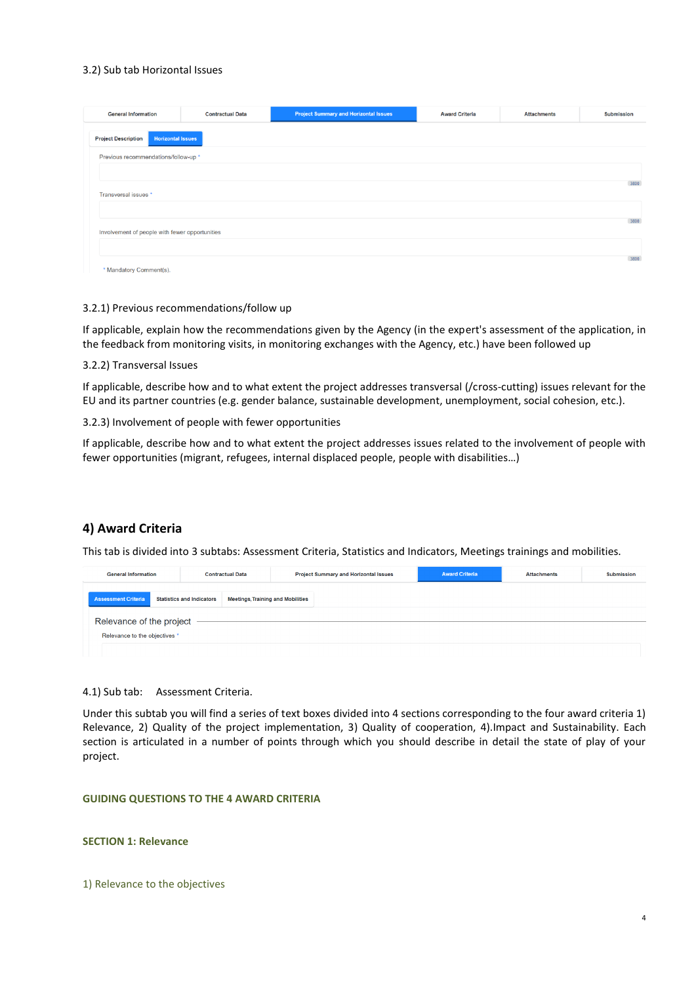#### 3.2) Sub tab Horizontal Issues

| <b>General Information</b>                             | <b>Contractual Data</b> | <b>Project Summary and Horizontal Issues</b> | <b>Award Criteria</b> | <b>Attachments</b> | <b>Submission</b> |
|--------------------------------------------------------|-------------------------|----------------------------------------------|-----------------------|--------------------|-------------------|
| <b>Horizontal Issues</b><br><b>Project Description</b> |                         |                                              |                       |                    |                   |
| Previous recommendations/follow-up *                   |                         |                                              |                       |                    |                   |
|                                                        |                         |                                              |                       |                    | 3800              |
| Transversal issues *                                   |                         |                                              |                       |                    |                   |
|                                                        |                         |                                              |                       |                    | 3800              |
| Involvement of people with fewer opportunities         |                         |                                              |                       |                    |                   |
|                                                        |                         |                                              |                       |                    | 3800              |
| * Mandatory Comment(s).                                |                         |                                              |                       |                    |                   |

#### 3.2.1) Previous recommendations/follow up

If applicable, explain how the recommendations given by the Agency (in the expert's assessment of the application, in the feedback from monitoring visits, in monitoring exchanges with the Agency, etc.) have been followed up

#### 3.2.2) Transversal Issues

If applicable, describe how and to what extent the project addresses transversal (/cross-cutting) issues relevant for the EU and its partner countries (e.g. gender balance, sustainable development, unemployment, social cohesion, etc.).

3.2.3) Involvement of people with fewer opportunities

If applicable, describe how and to what extent the project addresses issues related to the involvement of people with fewer opportunities (migrant, refugees, internal displaced people, people with disabilities…)

#### **4) Award Criteria**

This tab is divided into 3 subtabs: Assessment Criteria, Statistics and Indicators, Meetings trainings and mobilities.

| <b>General Information</b>    | <b>Contractual Data</b>          |                                          | <b>Project Summary and Horizontal Issues</b> | <b>Award Criteria</b> | <b>Attachments</b> | <b>Submission</b> |
|-------------------------------|----------------------------------|------------------------------------------|----------------------------------------------|-----------------------|--------------------|-------------------|
| <b>Assessment Criteria</b>    | <b>Statistics and Indicators</b> | <b>Meetings, Training and Mobilities</b> |                                              |                       |                    |                   |
| Relevance of the project      |                                  |                                          |                                              |                       |                    |                   |
| Relevance to the objectives * |                                  |                                          |                                              |                       |                    |                   |
|                               |                                  |                                          |                                              |                       |                    |                   |

#### 4.1) Sub tab: Assessment Criteria.

Under this subtab you will find a series of text boxes divided into 4 sections corresponding to the four award criteria 1) Relevance, 2) Quality of the project implementation, 3) Quality of cooperation, 4).Impact and Sustainability. Each section is articulated in a number of points through which you should describe in detail the state of play of your project.

4

#### **GUIDING QUESTIONS TO THE 4 AWARD CRITERIA**

#### **SECTION 1: Relevance**

1) Relevance to the objectives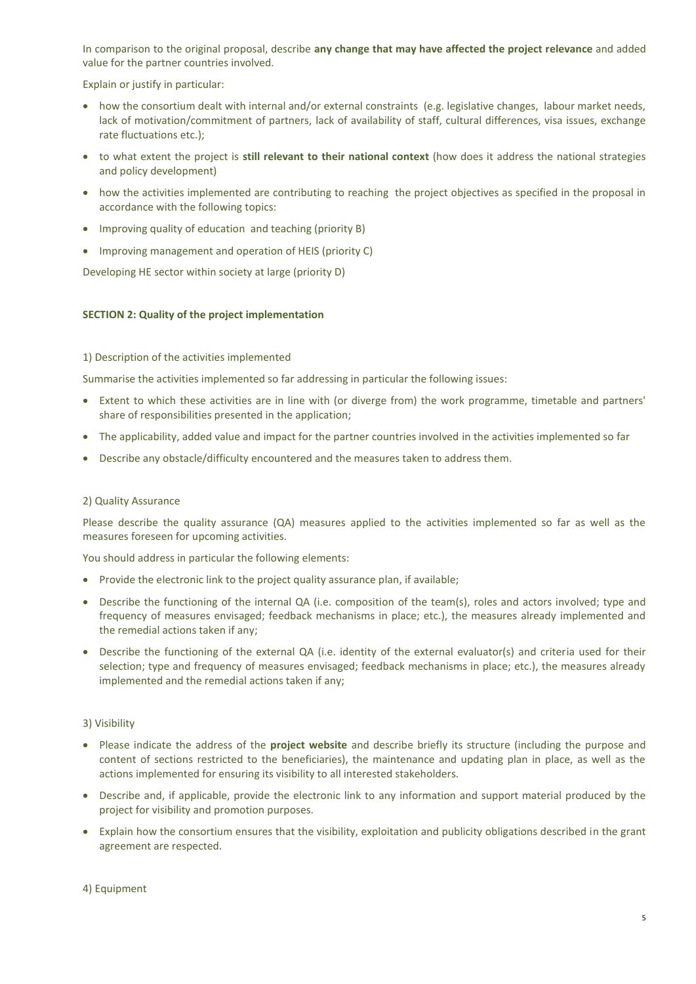In comparison to the original proposal, describe **any change that may have affected the project relevance** and added value for the partner countries involved.

Explain or justify in particular:

- how the consortium dealt with internal and/or external constraints (e.g. legislative changes, labour market needs, lack of motivation/commitment of partners, lack of availability of staff, cultural differences, visa issues, exchange rate fluctuations etc.);
- to what extent the project is **still relevant to their national context** (how does it address the national strategies and policy development)
- how the activities implemented are contributing to reaching the project objectives as specified in the proposal in accordance with the following topics:
- Improving quality of education and teaching (priority B)
- Improving management and operation of HEIS (priority C)

Developing HE sector within society at large (priority D)

#### **SECTION 2: Quality of the project implementation**

#### 1) Description of the activities implemented

Summarise the activities implemented so far addressing in particular the following issues:

- Extent to which these activities are in line with (or diverge from) the work programme, timetable and partners' share of responsibilities presented in the application;
- The applicability, added value and impact for the partner countries involved in the activities implemented so far
- Describe any obstacle/difficulty encountered and the measures taken to address them.

#### 2) Quality Assurance

Please describe the quality assurance (QA) measures applied to the activities implemented so far as well as the measures foreseen for upcoming activities.

You should address in particular the following elements:

- Provide the electronic link to the project quality assurance plan, if available;
- Describe the functioning of the internal QA (i.e. composition of the team(s), roles and actors involved; type and frequency of measures envisaged; feedback mechanisms in place; etc.), the measures already implemented and the remedial actions taken if any;
- Describe the functioning of the external QA (i.e. identity of the external evaluator(s) and criteria used for their selection; type and frequency of measures envisaged; feedback mechanisms in place; etc.), the measures already implemented and the remedial actions taken if any;

#### 3) Visibility

- Please indicate the address of the **project website** and describe briefly its structure (including the purpose and content of sections restricted to the beneficiaries), the maintenance and updating plan in place, as well as the actions implemented for ensuring its visibility to all interested stakeholders.
- Describe and, if applicable, provide the electronic link to any information and support material produced by the project for visibility and promotion purposes.
- Explain how the consortium ensures that the visibility, exploitation and publicity obligations described in the grant agreement are respected.

4) Equipment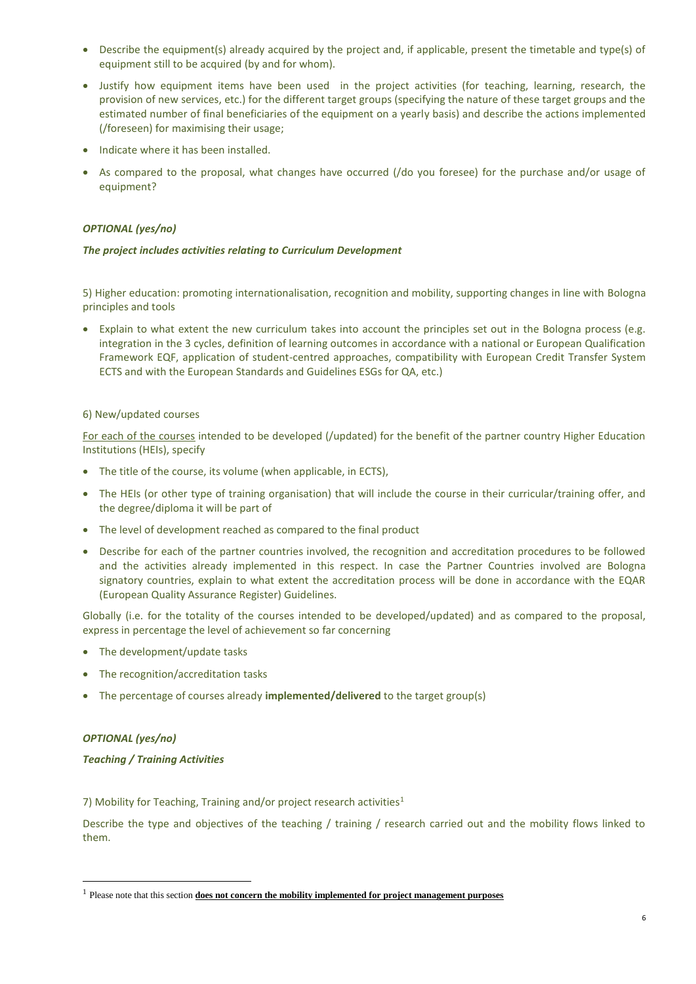- Describe the equipment(s) already acquired by the project and, if applicable, present the timetable and type(s) of equipment still to be acquired (by and for whom).
- Justify how equipment items have been used in the project activities (for teaching, learning, research, the provision of new services, etc.) for the different target groups (specifying the nature of these target groups and the estimated number of final beneficiaries of the equipment on a yearly basis) and describe the actions implemented (/foreseen) for maximising their usage;
- Indicate where it has been installed.
- As compared to the proposal, what changes have occurred (/do you foresee) for the purchase and/or usage of equipment?

#### *OPTIONAL (yes/no)*

#### *The project includes activities relating to Curriculum Development*

5) Higher education: promoting internationalisation, recognition and mobility, supporting changes in line with Bologna principles and tools

 Explain to what extent the new curriculum takes into account the principles set out in the Bologna process (e.g. integration in the 3 cycles, definition of learning outcomes in accordance with a national or European Qualification Framework EQF, application of student-centred approaches, compatibility with European Credit Transfer System ECTS and with the European Standards and Guidelines ESGs for QA, etc.)

#### 6) New/updated courses

For each of the courses intended to be developed (/updated) for the benefit of the partner country Higher Education Institutions (HEIs), specify

- The title of the course, its volume (when applicable, in ECTS),
- The HEIs (or other type of training organisation) that will include the course in their curricular/training offer, and the degree/diploma it will be part of
- The level of development reached as compared to the final product
- Describe for each of the partner countries involved, the recognition and accreditation procedures to be followed and the activities already implemented in this respect. In case the Partner Countries involved are Bologna signatory countries, explain to what extent the accreditation process will be done in accordance with the EQAR (European Quality Assurance Register) Guidelines.

Globally (i.e. for the totality of the courses intended to be developed/updated) and as compared to the proposal, express in percentage the level of achievement so far concerning

- The development/update tasks
- The recognition/accreditation tasks
- The percentage of courses already **implemented/delivered** to the target group(s)

#### *OPTIONAL (yes/no)*

<u>.</u>

*Teaching / Training Activities*

7) Mobility for Teaching, Training and/or project research activities<sup>1</sup>

Describe the type and objectives of the teaching / training / research carried out and the mobility flows linked to them.

<sup>&</sup>lt;sup>1</sup> Please note that this section **does not concern the mobility implemented for project management purposes**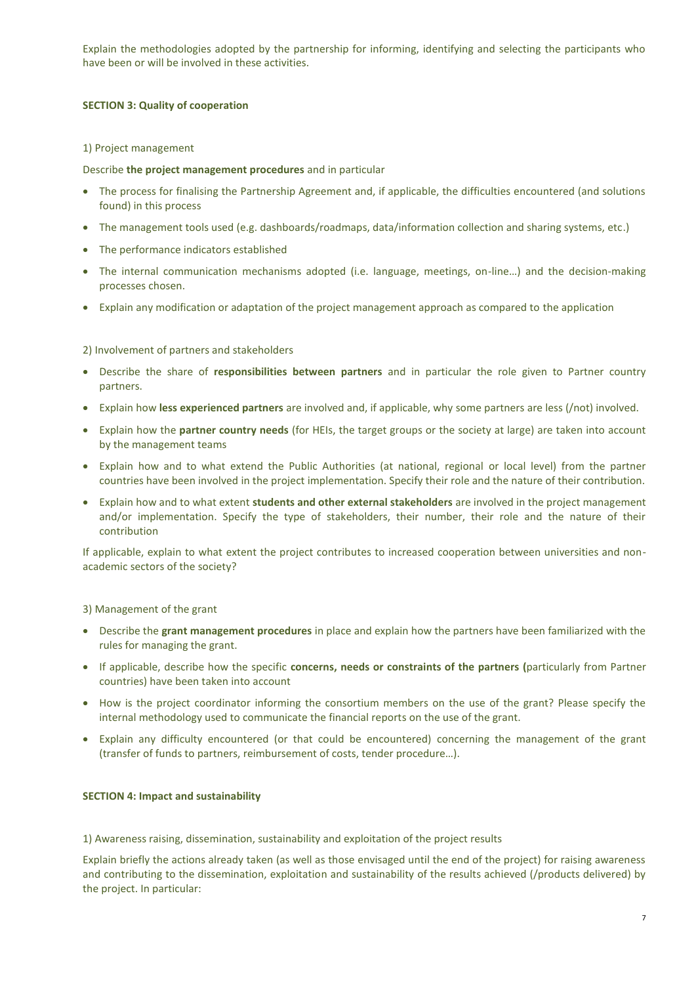Explain the methodologies adopted by the partnership for informing, identifying and selecting the participants who have been or will be involved in these activities.

#### **SECTION 3: Quality of cooperation**

#### 1) Project management

#### Describe **the project management procedures** and in particular

- The process for finalising the Partnership Agreement and, if applicable, the difficulties encountered (and solutions found) in this process
- The management tools used (e.g. dashboards/roadmaps, data/information collection and sharing systems, etc.)
- The performance indicators established
- The internal communication mechanisms adopted (i.e. language, meetings, on-line…) and the decision-making processes chosen.
- Explain any modification or adaptation of the project management approach as compared to the application

#### 2) Involvement of partners and stakeholders

- Describe the share of **responsibilities between partners** and in particular the role given to Partner country partners.
- Explain how **less experienced partners** are involved and, if applicable, why some partners are less (/not) involved.
- Explain how the **partner country needs** (for HEIs, the target groups or the society at large) are taken into account by the management teams
- Explain how and to what extend the Public Authorities (at national, regional or local level) from the partner countries have been involved in the project implementation. Specify their role and the nature of their contribution.
- Explain how and to what extent **students and other external stakeholders** are involved in the project management and/or implementation. Specify the type of stakeholders, their number, their role and the nature of their contribution

If applicable, explain to what extent the project contributes to increased cooperation between universities and nonacademic sectors of the society?

#### 3) Management of the grant

- Describe the **grant management procedures** in place and explain how the partners have been familiarized with the rules for managing the grant.
- If applicable, describe how the specific **concerns, needs or constraints of the partners (**particularly from Partner countries) have been taken into account
- How is the project coordinator informing the consortium members on the use of the grant? Please specify the internal methodology used to communicate the financial reports on the use of the grant.
- Explain any difficulty encountered (or that could be encountered) concerning the management of the grant (transfer of funds to partners, reimbursement of costs, tender procedure…).

#### **SECTION 4: Impact and sustainability**

1) Awareness raising, dissemination, sustainability and exploitation of the project results

Explain briefly the actions already taken (as well as those envisaged until the end of the project) for raising awareness and contributing to the dissemination, exploitation and sustainability of the results achieved (/products delivered) by the project. In particular: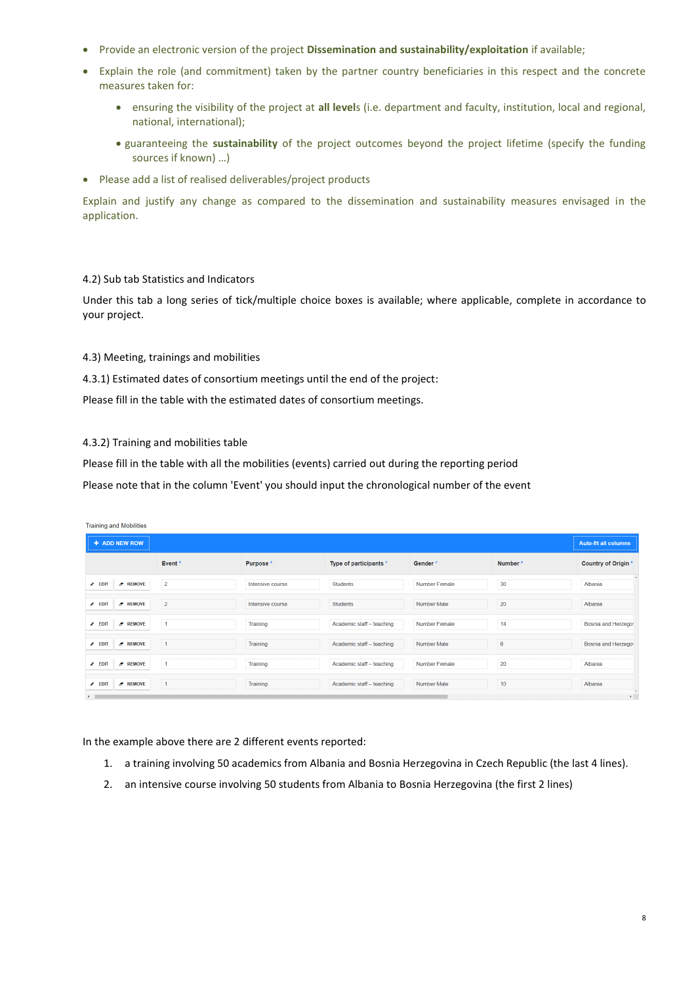- Provide an electronic version of the project **Dissemination and sustainability/exploitation** if available;
- Explain the role (and commitment) taken by the partner country beneficiaries in this respect and the concrete measures taken for:
	- ensuring the visibility of the project at **all level**s (i.e. department and faculty, institution, local and regional, national, international);
	- guaranteeing the **sustainability** of the project outcomes beyond the project lifetime (specify the funding sources if known) …)
- Please add a list of realised deliverables/project products

Explain and justify any change as compared to the dissemination and sustainability measures envisaged in the application.

#### 4.2) Sub tab Statistics and Indicators

Under this tab a long series of tick/multiple choice boxes is available; where applicable, complete in accordance to your project.

4.3) Meeting, trainings and mobilities

4.3.1) Estimated dates of consortium meetings until the end of the project:

Please fill in the table with the estimated dates of consortium meetings.

#### 4.3.2) Training and mobilities table

Please fill in the table with all the mobilities (events) carried out during the reporting period

Please note that in the column 'Event' you should input the chronological number of the event

| <b>Training and Mobilities</b>      |                    |                  |                           |                      |         |                             |  |  |  |
|-------------------------------------|--------------------|------------------|---------------------------|----------------------|---------|-----------------------------|--|--|--|
| <b>+ ADD NEW ROW</b>                |                    |                  |                           |                      |         | <b>Auto-fit all columns</b> |  |  |  |
|                                     | Event <sup>*</sup> | Purpose *        | Type of participants *    | Gender*              | Number* | Country of Origin *         |  |  |  |
| $Z$ REMOVE<br>$\epsilon$ EDIT       | $\overline{2}$     | Intensive course | Students                  | Number Female        | 30      | Albania                     |  |  |  |
| $\triangle$ EDIT<br>$\sigma$ REMOVE | $\overline{2}$     | Intensive course | <b>Students</b>           | Number Male          | 20      | Albania                     |  |  |  |
| $\sigma$ REMOVE<br>$\triangle$ EDIT | $\mathbf{1}$       | Training         | Academic staff - teaching | Number Female        | 14      | Bosnia and Herzego          |  |  |  |
| $C$ REMOVE<br>$\triangle$ EDIT      | $\mathbf{1}$       | Training         | Academic staff - teaching | <b>Number Male</b>   | 6       | Bosnia and Herzego          |  |  |  |
| $\sigma$ REMOVE<br>$\angle$ EDIT    | $\mathbf{1}$       | Training         | Academic staff - teaching | <b>Number Female</b> | 20      | Albania                     |  |  |  |
| $\triangle$ EDIT<br>$Z$ REMOVE      | $\mathbf{1}$       | Training         | Academic staff - teaching | Number Male          | 10      | Albania<br>$\mathcal{H}$    |  |  |  |
| $\leftarrow$                        |                    |                  |                           |                      |         | $\mathbf{F}$                |  |  |  |

In the example above there are 2 different events reported:

- 1. a training involving 50 academics from Albania and Bosnia Herzegovina in Czech Republic (the last 4 lines).
- 2. an intensive course involving 50 students from Albania to Bosnia Herzegovina (the first 2 lines)